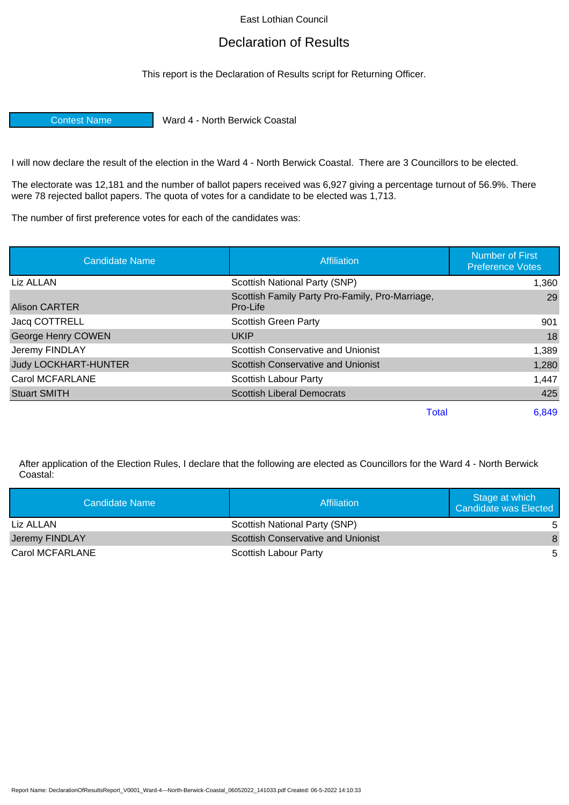East Lothian Council

## Declaration of Results

This report is the Declaration of Results script for Returning Officer.

Contest Name Ward 4 - North Berwick Coastal

I will now declare the result of the election in the Ward 4 - North Berwick Coastal. There are 3 Councillors to be elected.

The electorate was 12,181 and the number of ballot papers received was 6,927 giving a percentage turnout of 56.9%. There were 78 rejected ballot papers. The quota of votes for a candidate to be elected was 1,713.

The number of first preference votes for each of the candidates was:

| <b>Candidate Name</b>       | Affiliation                                                 | <b>Number of First</b><br><b>Preference Votes</b> |
|-----------------------------|-------------------------------------------------------------|---------------------------------------------------|
| Liz ALLAN                   | Scottish National Party (SNP)                               | 1,360                                             |
| <b>Alison CARTER</b>        | Scottish Family Party Pro-Family, Pro-Marriage,<br>Pro-Life | 29                                                |
| Jacq COTTRELL               | <b>Scottish Green Party</b>                                 | 901                                               |
| <b>George Henry COWEN</b>   | <b>UKIP</b>                                                 | 18                                                |
| Jeremy FINDLAY              | <b>Scottish Conservative and Unionist</b>                   | 1,389                                             |
| <b>Judy LOCKHART-HUNTER</b> | <b>Scottish Conservative and Unionist</b>                   | 1,280                                             |
| Carol MCFARLANE             | Scottish Labour Party                                       | 1,447                                             |
| <b>Stuart SMITH</b>         | <b>Scottish Liberal Democrats</b>                           | 425                                               |
|                             | Total                                                       | 6,849                                             |

After application of the Election Rules, I declare that the following are elected as Councillors for the Ward 4 - North Berwick Coastal:

| Candidate Name  | Affiliation                               | Stage at which<br>Candidate was Elected |
|-----------------|-------------------------------------------|-----------------------------------------|
| Liz ALLAN       | Scottish National Party (SNP)             | .5                                      |
| Jeremy FINDLAY  | <b>Scottish Conservative and Unionist</b> | 8                                       |
| Carol MCFARLANE | Scottish Labour Party                     | .5.                                     |